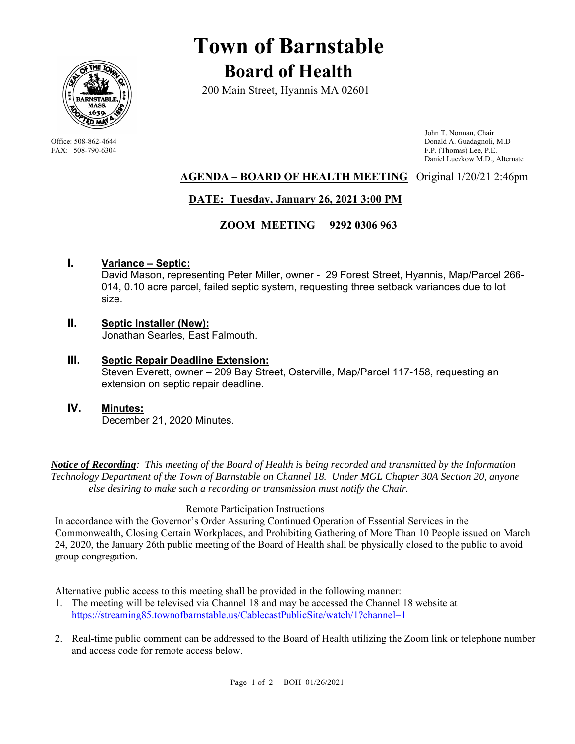

# **Town of Barnstable Board of Health**

200 Main Street, Hyannis MA 02601

 John T. Norman, Chair Office: 508-862-4644 Donald A. Guadagnoli, M.D<br>
FAX: 508-790-6304 FAX: 508-790-6304 F.P. (Thomas) Lee, P.E. F.P. (Thomas) Lee, P.E. Daniel Luczkow M.D., Alternate

## **AGENDA – BOARD OF HEALTH MEETING** Original 1/20/21 2:46pm

# **DATE: Tuesday, January 26, 2021 3:00 PM**

### **ZOOM MEETING 9292 0306 963**

### **I. Variance – Septic:**

David Mason, representing Peter Miller, owner - 29 Forest Street, Hyannis, Map/Parcel 266- 014, 0.10 acre parcel, failed septic system, requesting three setback variances due to lot size.

#### **II. Septic Installer (New):** Jonathan Searles, East Falmouth.

- **III. Septic Repair Deadline Extension:** Steven Everett, owner – 209 Bay Street, Osterville, Map/Parcel 117-158, requesting an extension on septic repair deadline.
- **IV. Minutes:**  December 21, 2020 Minutes.

*Notice of Recording: This meeting of the Board of Health is being recorded and transmitted by the Information Technology Department of the Town of Barnstable on Channel 18. Under MGL Chapter 30A Section 20, anyone else desiring to make such a recording or transmission must notify the Chair.* 

#### Remote Participation Instructions

In accordance with the Governor's Order Assuring Continued Operation of Essential Services in the Commonwealth, Closing Certain Workplaces, and Prohibiting Gathering of More Than 10 People issued on March 24, 2020, the January 26th public meeting of the Board of Health shall be physically closed to the public to avoid group congregation.

Alternative public access to this meeting shall be provided in the following manner:

- 1. The meeting will be televised via Channel 18 and may be accessed the Channel 18 website at https://streaming85.townofbarnstable.us/CablecastPublicSite/watch/1?channel=1
- 2. Real-time public comment can be addressed to the Board of Health utilizing the Zoom link or telephone number and access code for remote access below.